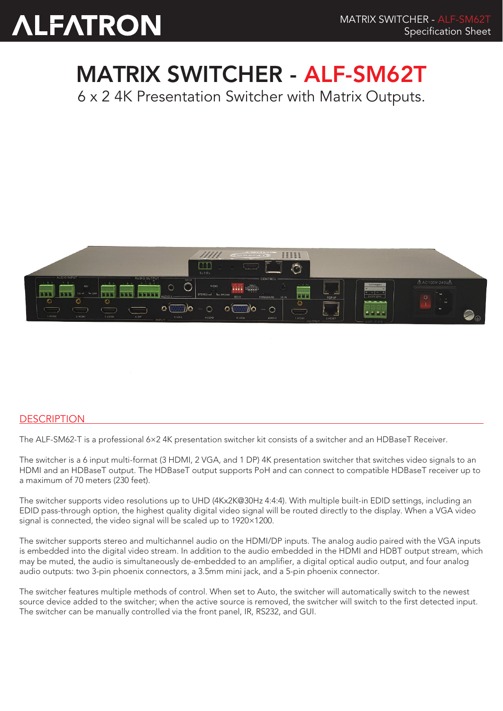## MATRIX SWITCHER - ALF-SM62T

6 x 2 4K Presentation Switcher with Matrix Outputs.



## **DESCRIPTION**

The ALF-SM62-T is a professional 6×2 4K presentation switcher kit consists of a switcher and an HDBaseT Receiver.

The switcher is a 6 input multi-format (3 HDMI, 2 VGA, and 1 DP) 4K presentation switcher that switches video signals to an HDMI and an HDBaseT output. The HDBaseT output supports PoH and can connect to compatible HDBaseT receiver up to a maximum of 70 meters (230 feet).

The switcher supports video resolutions up to UHD (4Kx2K@30Hz 4:4:4). With multiple built-in EDID settings, including an EDID pass-through option, the highest quality digital video signal will be routed directly to the display. When a VGA video signal is connected, the video signal will be scaled up to 1920×1200.

The switcher supports stereo and multichannel audio on the HDMI/DP inputs. The analog audio paired with the VGA inputs is embedded into the digital video stream. In addition to the audio embedded in the HDMI and HDBT output stream, which may be muted, the audio is simultaneously de-embedded to an amplifier, a digital optical audio output, and four analog audio outputs: two 3-pin phoenix connectors, a 3.5mm mini jack, and a 5-pin phoenix connector.

The switcher features multiple methods of control. When set to Auto, the switcher will automatically switch to the newest source device added to the switcher; when the active source is removed, the switcher will switch to the first detected input. The switcher can be manually controlled via the front panel, IR, RS232, and GUI.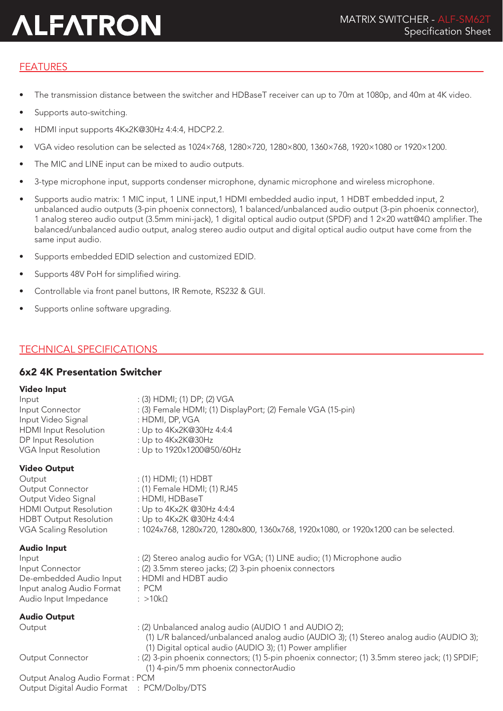## FEATURES

- The transmission distance between the switcher and HDBaseT receiver can up to 70m at 1080p, and 40m at 4K video.
- Supports auto-switching.
- HDMI input supports 4Kx2K@30Hz 4:4:4, HDCP2.2.
- VGA video resolution can be selected as 1024×768, 1280×720, 1280×800, 1360×768, 1920×1080 or 1920×1200.
- The MIC and LINE input can be mixed to audio outputs.
- 3-type microphone input, supports condenser microphone, dynamic microphone and wireless microphone.
- Supports audio matrix: 1 MIC input, 1 LINE input,1 HDMI embedded audio input, 1 HDBT embedded input, 2 unbalanced audio outputs (3-pin phoenix connectors), 1 balanced/unbalanced audio output (3-pin phoenix connector), 1 analog stereo audio output (3.5mm mini-jack), 1 digital optical audio output (SPDF) and 1 2×20 watt@4Ω amplifier. The balanced/unbalanced audio output, analog stereo audio output and digital optical audio output have come from the same input audio.
- Supports embedded EDID selection and customized EDID.
- Supports 48V PoH for simplified wiring.
- Controllable via front panel buttons, IR Remote, RS232 & GUI.
- Supports online software upgrading.

## TECHNICAL SPECIFICATIONS

## 6x2 4K Presentation Switcher

#### Video Input

| Input                        | $:(3)$ HDMI; (1) DP; (2) VGA                                |  |
|------------------------------|-------------------------------------------------------------|--|
| Input Connector              | : (3) Female HDMI; (1) DisplayPort; (2) Female VGA (15-pin) |  |
| Input Video Signal           | : HDMI, DP, VGA                                             |  |
| <b>HDMI</b> Input Resolution | : Up to $4Kx2K@30Hz 4:4:4$                                  |  |
| DP Input Resolution          | : Up to $4Kx2K@30Hz$                                        |  |
| VGA Input Resolution         | : Up to 1920x1200@50/60Hz                                   |  |
|                              |                                                             |  |

### Video Output

Output : (1) HDMI; (1) HDBT Output Connector : (1) Female HDMI; (1) RJ45 Output Video Signal : HDMI, HDBaseT HDMI Output Resolution : Up to 4Kx2K @30Hz 4:4:4 HDBT Output Resolution : Up to 4Kx2K @30Hz 4:4:4 VGA Scaling Resolution : 1024x768, 1280x720, 1280x800, 1360x768, 1920x1080, or 1920x1200 can be selected.

#### Audio Input

| Auulu Iliput              |                                                                                        |
|---------------------------|----------------------------------------------------------------------------------------|
| Input                     | : (2) Stereo analog audio for VGA; (1) LINE audio; (1) Microphone audio                |
| Input Connector           | : (2) 3.5mm stereo jacks; (2) 3-pin phoenix connectors                                 |
| De-embedded Audio Input   | : HDMI and HDBT audio                                                                  |
| Input analog Audio Format | : PCM                                                                                  |
| Audio Input Impedance     | : $>10k\Omega$                                                                         |
| Audio Output              |                                                                                        |
| Output                    | : (2) Unbalanced analog audio (AUDIO 1 and AUDIO 2);                                   |
|                           | (1) L/R balanced/unbalanced analog audio (AUDIO 3); (1) Stereo analog audio (AUDIO 3); |
|                           | (1) Digital optical audio (AUDIO 3); (1) Power amplifier                               |

Output Connector : (2) 3-pin phoenix connectors; (1) 5-pin phoenix connector; (1) 3.5mm stereo jack; (1) SPDIF; (1) 4-pin/5 mm phoenix connectorAudio

#### Output Analog Audio Format : PCM Output Digital Audio Format : PCM/Dolby/DTS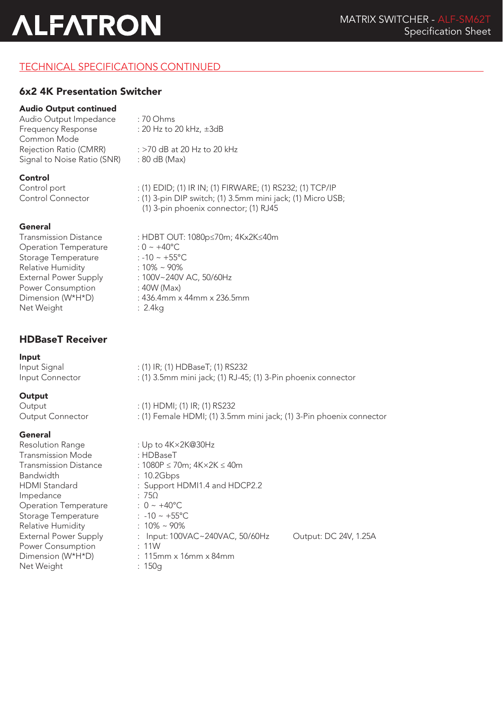## TECHNICAL SPECIFICATIONS CONTINUED

## 6x2 4K Presentation Switcher

## Audio Output continued

Audio Output Impedance : 70 Ohms<br>Frequency Response : 20 Hz to 3 Common Mode Rejection Ratio (CMRR) : >70 dB at 20 Hz to 20 kHz Signal to Noise Ratio (SNR) : 80 dB (Max)

#### Control

#### General

Transmission Distance Operation Temperature Storage Temperature Relative Humidity External Power Supply Power Consumption Dimension (W\*H\*D) Net Weight : 2.4kg

## HDBaseT Receiver

Input

Input Signal : (1) IR; (1) HDBaseT; (1) RS232<br>Input Connector : (1) 3.5mm mini jack; (1) RJ-45 : (1) 3.5mm mini jack; (1) RJ-45; (1) 3-Pin phoenix connector

 $: 20$  Hz to 20 kHz,  $\pm 3$ dB

### **Output**

Output : (1) HDMI; (1) IR; (1) RS232 Output Connector : (1) Female HDMI; (1) 3.5mm mini jack; (1) 3-Pin phoenix connector

### General

| Resolution Range             | : Up to $4K \times 2K@30Hz$                |                       |
|------------------------------|--------------------------------------------|-----------------------|
| Transmission Mode            | $:$ HDBaseT                                |                       |
| <b>Transmission Distance</b> | : $1080P \le 70m$ ; $4K \times 2K \le 40m$ |                       |
| <b>Bandwidth</b>             | : 10.2Gbps                                 |                       |
| <b>HDMI</b> Standard         | : Support HDMI1.4 and HDCP2.2              |                       |
| Impedance                    | : 75 $\Omega$                              |                       |
| <b>Operation Temperature</b> | : $0 \sim +40^{\circ}$ C                   |                       |
| Storage Temperature          | : $-10 \sim +55^{\circ}C$                  |                       |
| <b>Relative Humidity</b>     | $: 10\% \sim 90\%$                         |                       |
| <b>External Power Supply</b> | : Input: 100VAC~240VAC, 50/60Hz            | Output: DC 24V, 1.25A |
| Power Consumption            | : 11W                                      |                       |
| Dimension (W*H*D)            | $: 115$ mm x 16mm x 84mm                   |                       |
| Net Weight                   | : 150q                                     |                       |

| Control port<br><b>Control Connector</b> | : (1) EDID; (1) IR IN; (1) FIRWARE; (1) RS232; (1) TCP/IP<br>: (1) 3-pin DIP switch; (1) 3.5mm mini jack; (1) Micro USB;<br>(1) 3-pin phoenix connector; (1) RJ45 |
|------------------------------------------|-------------------------------------------------------------------------------------------------------------------------------------------------------------------|
| General                                  |                                                                                                                                                                   |
| <b>Transmission Distance</b>             | : HDBT OUT: 1080p≤70m; 4Kx2K≤40m                                                                                                                                  |
| <b>Operation Temperature</b>             | $: 0 \sim +40^{\circ}C$                                                                                                                                           |
| Storage Temperature                      | $: -10 \sim +55^{\circ}$ C                                                                                                                                        |
| <b>Relative Humidity</b>                 | $:10\% \sim 90\%$                                                                                                                                                 |
| <b>External Power Supply</b>             | : 100V~240V AC, 50/60Hz                                                                                                                                           |
| Power Consumption                        | $:40W$ (Max)                                                                                                                                                      |
| Dimension (W*H*D)                        | $: 436.4$ mm x 44mm x 236.5mm                                                                                                                                     |
| $N = 100$                                | . 211                                                                                                                                                             |